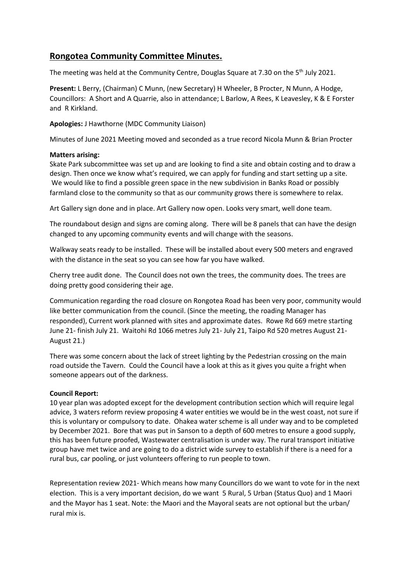## **Rongotea Community Committee Minutes.**

The meeting was held at the Community Centre, Douglas Square at 7.30 on the 5<sup>th</sup> July 2021.

**Present:** L Berry, (Chairman) C Munn, (new Secretary) H Wheeler, B Procter, N Munn, A Hodge, Councillors: A Short and A Quarrie, also in attendance; L Barlow, A Rees, K Leavesley, K & E Forster and R Kirkland.

**Apologies:** J Hawthorne (MDC Community Liaison)

Minutes of June 2021 Meeting moved and seconded as a true record Nicola Munn & Brian Procter

## **Matters arising:**

Skate Park subcommittee was set up and are looking to find a site and obtain costing and to draw a design. Then once we know what's required, we can apply for funding and start setting up a site. We would like to find a possible green space in the new subdivision in Banks Road or possibly farmland close to the community so that as our community grows there is somewhere to relax.

Art Gallery sign done and in place. Art Gallery now open. Looks very smart, well done team.

The roundabout design and signs are coming along. There will be 8 panels that can have the design changed to any upcoming community events and will change with the seasons.

Walkway seats ready to be installed. These will be installed about every 500 meters and engraved with the distance in the seat so you can see how far you have walked.

Cherry tree audit done. The Council does not own the trees, the community does. The trees are doing pretty good considering their age.

Communication regarding the road closure on Rongotea Road has been very poor, community would like better communication from the council. (Since the meeting, the roading Manager has responded), Current work planned with sites and approximate dates. Rowe Rd 669 metre starting June 21- finish July 21. Waitohi Rd 1066 metres July 21- July 21, Taipo Rd 520 metres August 21- August 21.)

There was some concern about the lack of street lighting by the Pedestrian crossing on the main road outside the Tavern. Could the Council have a look at this as it gives you quite a fright when someone appears out of the darkness.

## **Council Report:**

10 year plan was adopted except for the development contribution section which will require legal advice, 3 waters reform review proposing 4 water entities we would be in the west coast, not sure if this is voluntary or compulsory to date. Ohakea water scheme is all under way and to be completed by December 2021. Bore that was put in Sanson to a depth of 600 metres to ensure a good supply, this has been future proofed, Wastewater centralisation is under way. The rural transport initiative group have met twice and are going to do a district wide survey to establish if there is a need for a rural bus, car pooling, or just volunteers offering to run people to town.

Representation review 2021- Which means how many Councillors do we want to vote for in the next election. This is a very important decision, do we want 5 Rural, 5 Urban (Status Quo) and 1 Maori and the Mayor has 1 seat. Note: the Maori and the Mayoral seats are not optional but the urban/ rural mix is.